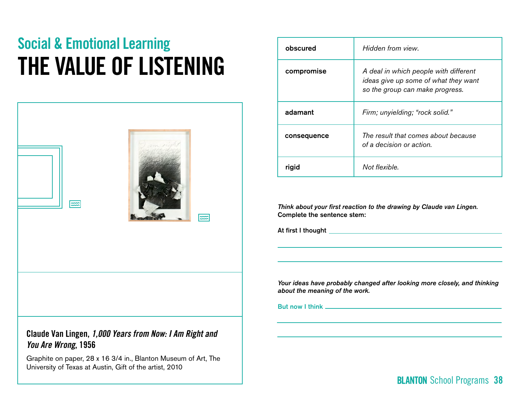# Social & Emotional Learning THE VALUE OF LISTENING

| $\equiv$ | $\approx$ |
|----------|-----------|
|          |           |
|          |           |

### Claude Van Lingen, *1,000 Years from Now: I Am Right and You Are Wrong*, 1956

Graphite on paper, 28 x 16 3/4 in., Blanton Museum of Art, The University of Texas at Austin, Gift of the artist, 2010

| obscured    | Hidden from view.                                                                                                |  |  |
|-------------|------------------------------------------------------------------------------------------------------------------|--|--|
| compromise  | A deal in which people with different<br>ideas give up some of what they want<br>so the group can make progress. |  |  |
| adamant     | Firm; unyielding; "rock solid."                                                                                  |  |  |
| consequence | The result that comes about because<br>of a decision or action.                                                  |  |  |
| rigid       | Not flexible.                                                                                                    |  |  |

*Think about your first reaction to the drawing by Claude van Lingen.*  Complete the sentence stem:

At first I thought

*Your ideas have probably changed after looking more closely, and thinking about the meaning of the work.* 

But now I think

# School Programs 38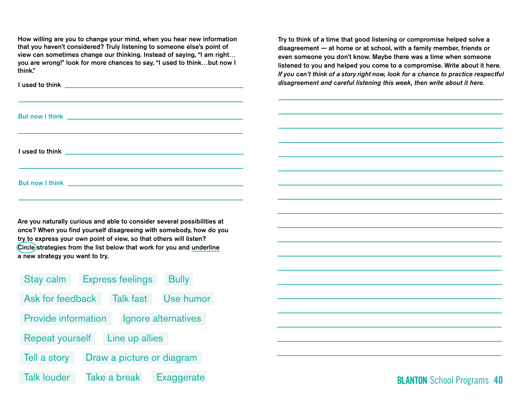How willing are you to change your mind, when you hear new information that you haven't considered? Truly listening to someone else's point of view can sometimes change our thinking. Instead of saying, "I am right… you are wrong!" look for more chances to say, "I used to think…but now I think."

Are you naturally curious and able to consider several possibilities at once? When you find yourself disagreeing with somebody, how do you try to express your own point of view, so that others will listen? Circle strategies from the list below that work for you and underline a new strategy you want to try.

| <b>Stay calm</b>                                  |                           | <b>Express feelings</b> | <b>Bully</b>      |  |  |
|---------------------------------------------------|---------------------------|-------------------------|-------------------|--|--|
| Ask for feedback                                  |                           | <b>Talk fast</b>        | Use humor         |  |  |
| <b>Provide information</b><br>Ignore alternatives |                           |                         |                   |  |  |
| <b>Repeat yourself</b><br>Line up allies          |                           |                         |                   |  |  |
| Tell a story                                      | Draw a picture or diagram |                         |                   |  |  |
| <b>Talk louder</b>                                |                           | Take a break            | <b>Exaggerate</b> |  |  |

Try to think of a time that good listening or compromise helped solve a disagreement — at home or at school, with a family member, friends or even someone you don't know. Maybe there was a time when someone listened to you and helped you come to a compromise. Write about it here. *If you can't think of a story right now, look for a chance to practice respectful disagreement and careful listening this week, then write about it here.*